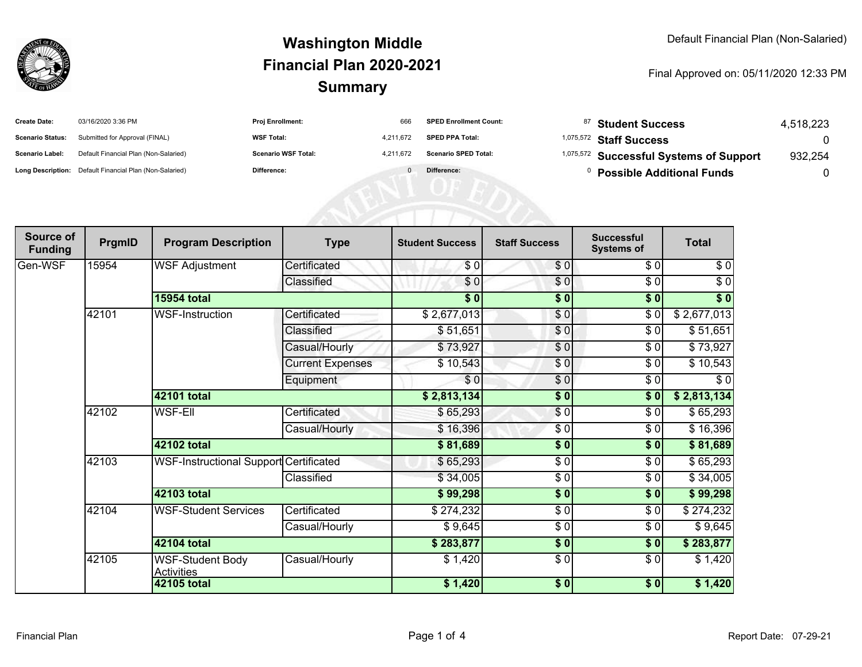

#### **SummaryWashington MiddleFinancial Plan 2020-2021**

#### Final Approved on: 05/11/2020 12:33 PM

| <b>Create Date:</b>     | 03/16/2020 3:36 PM                                      | Proj Enrollment:           | 666       | <b>SPED Enrollment Count:</b> | <sup>87</sup> Student Success                      | 4,518,223 |
|-------------------------|---------------------------------------------------------|----------------------------|-----------|-------------------------------|----------------------------------------------------|-----------|
| <b>Scenario Status:</b> | Submitted for Approval (FINAL)                          | <b>WSF Total:</b>          | 4,211,672 | <b>SPED PPA Total:</b>        | <sup>1,075,572</sup> Staff Success                 |           |
| Scenario Label:         | Default Financial Plan (Non-Salaried)                   | <b>Scenario WSF Total:</b> | 4.211.672 | <b>Scenario SPED Total:</b>   | <sup>1,075,572</sup> Successful Systems of Support | 932,254   |
|                         | Long Description: Default Financial Plan (Non-Salaried) | Difference:                |           | Difference:                   | <b>Possible Additional Funds</b>                   |           |
|                         |                                                         |                            |           |                               |                                                    |           |
|                         |                                                         |                            |           |                               |                                                    |           |
|                         |                                                         |                            |           |                               |                                                    |           |

| Source of<br><b>Funding</b> | PrgmID      | <b>Program Description</b>                    | <b>Type</b>             | <b>Student Success</b> | <b>Staff Success</b> | <b>Successful</b><br><b>Systems of</b> | <b>Total</b> |
|-----------------------------|-------------|-----------------------------------------------|-------------------------|------------------------|----------------------|----------------------------------------|--------------|
| Gen-WSF                     | 15954       | <b>WSF Adjustment</b>                         | Certificated            | \$0                    | \$0                  | \$0                                    | \$0          |
|                             |             |                                               | Classified              | \$0                    | \$0                  | \$0                                    | \$0          |
|                             |             | <b>15954 total</b>                            |                         | $\frac{1}{6}$          | $\sqrt{6}$           | $\sqrt{6}$                             | $\sqrt[6]{}$ |
|                             | 42101       | <b>WSF-Instruction</b>                        | Certificated            | \$2,677,013            | \$0                  | \$0                                    | \$2,677,013  |
|                             |             |                                               | Classified              | \$51,651               | \$0                  | \$0                                    | \$51,651     |
|                             |             |                                               | Casual/Hourly           | \$73,927               | \$0                  | \$0                                    | \$73,927     |
|                             |             |                                               | <b>Current Expenses</b> | \$10,543               | \$0                  | \$0                                    | \$10,543     |
|                             |             |                                               | Equipment               | \$0                    | \$0                  | \$0                                    | $\sqrt{6}$   |
|                             |             | 42101 total                                   |                         | \$2,813,134            | \$0                  | \$0                                    | \$2,813,134  |
|                             | 42102       | <b>WSF-Ell</b>                                | Certificated            | \$65,293               | $\overline{\$0}$     | \$0                                    | \$65,293     |
|                             |             |                                               | Casual/Hourly           | \$16,396               | \$0                  | \$0                                    | \$16,396     |
|                             |             | 42102 total                                   |                         | \$81,689               | \$0                  | \$0                                    | \$81,689     |
|                             | 42103       | <b>WSF-Instructional Support Certificated</b> |                         | \$65,293               | \$0                  | \$0                                    | \$65,293     |
|                             |             |                                               | Classified              | \$34,005               | \$0                  | \$0                                    | \$34,005     |
|                             |             | 42103 total                                   |                         | \$99,298               | \$0                  | \$0                                    | \$99,298     |
|                             | 42104       | <b>WSF-Student Services</b>                   | Certificated            | \$274,232              | $\frac{6}{6}$        | \$0                                    | \$274,232    |
|                             |             |                                               | Casual/Hourly           | \$9,645                | \$0                  | \$0                                    | \$9,645      |
|                             |             | 42104 total                                   |                         | \$283,877              | \$0                  | \$0                                    | \$283,877    |
|                             | 42105       | <b>WSF-Student Body</b><br><b>Activities</b>  | Casual/Hourly           | \$1,420                | $\frac{6}{6}$        | $\frac{6}{6}$                          | \$1,420      |
|                             | 42105 total |                                               |                         | \$1,420                | \$0                  | 30                                     | \$1,420      |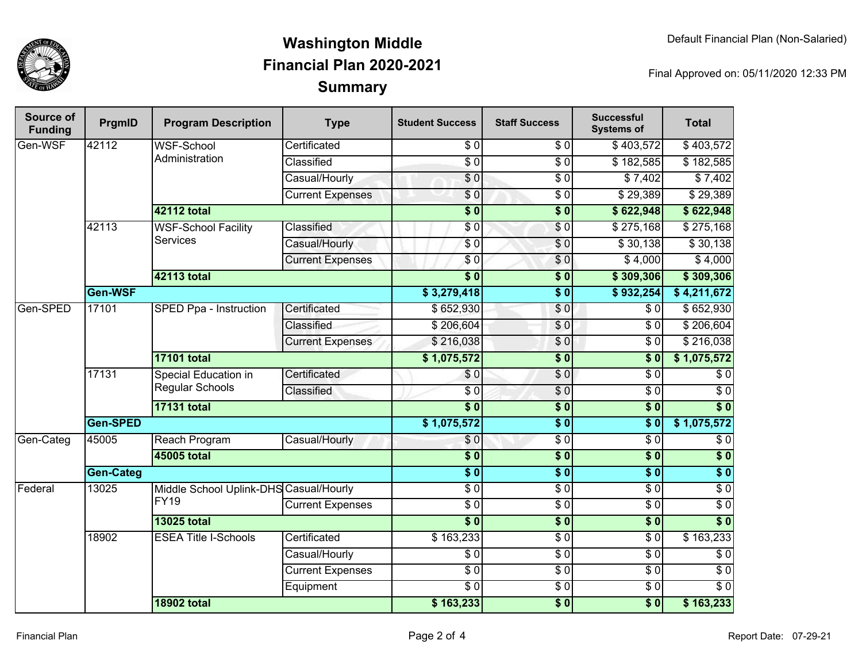

## **SummaryWashington MiddleFinancial Plan 2020-2021**

Final Approved on: 05/11/2020 12:33 PM

| <b>Source of</b><br><b>Funding</b> | PrgmID           | <b>Program Description</b>                            | <b>Type</b>             | <b>Student Success</b> | <b>Staff Success</b> | <b>Successful</b><br><b>Systems of</b> | <b>Total</b>     |
|------------------------------------|------------------|-------------------------------------------------------|-------------------------|------------------------|----------------------|----------------------------------------|------------------|
| Gen-WSF                            | 42112            | <b>WSF-School</b><br>Administration                   | Certificated            | $\sqrt{6}$             | $\frac{3}{6}$        | \$403,572                              | \$403,572        |
|                                    |                  |                                                       | Classified              | $\overline{S}0$        | \$0                  | \$182,585                              | \$182,585        |
|                                    |                  |                                                       | Casual/Hourly           | $\sqrt{6}$             | $\overline{\$0}$     | \$7,402                                | \$7,402          |
|                                    |                  |                                                       | <b>Current Expenses</b> | \$0                    | $\overline{\$0}$     | \$29,389                               | \$29,389         |
|                                    |                  | 42112 total                                           |                         | $\overline{\$0}$       | $\overline{\$0}$     | \$622,948                              | \$622,948        |
|                                    | 42113            | <b>WSF-School Facility</b>                            | Classified              | \$0                    | $\overline{S}0$      | \$275,168                              | \$275,168        |
|                                    |                  | <b>Services</b>                                       | Casual/Hourly           | $\sqrt{6}$             | $\sqrt{0}$           | \$30,138                               | \$30,138         |
|                                    |                  |                                                       | <b>Current Expenses</b> | \$0                    | \$0                  | \$4,000                                | \$4,000          |
|                                    |                  | 42113 total                                           |                         | $\overline{\$0}$       | $\overline{\$0}$     | \$309,306                              | \$309,306        |
|                                    | Gen-WSF          |                                                       |                         | \$3,279,418            | $\overline{\$0}$     | \$932,254                              | \$4,211,672      |
| Gen-SPED                           | 17101            | SPED Ppa - Instruction                                | Certificated            | \$652,930              | \$0                  | $\overline{30}$                        | \$652,930        |
|                                    |                  |                                                       | Classified              | \$206,604              | \$0                  | $\overline{\$0}$                       | \$206,604        |
|                                    |                  |                                                       | <b>Current Expenses</b> | \$216,038              | \$0                  | $\overline{\$0}$                       | \$216,038        |
|                                    |                  | <b>17101 total</b>                                    |                         | \$1,075,572            | $\overline{\$0}$     | $\overline{\$0}$                       | \$1,075,572      |
|                                    | 17131            | Special Education in<br><b>Regular Schools</b>        | Certificated            | \$0                    | \$0                  | $\overline{\$0}$                       | $\sqrt{6}$       |
|                                    |                  |                                                       | Classified              | $\overline{60}$        | $\sqrt{6}$           | $\sqrt{6}$                             | $\overline{60}$  |
|                                    |                  | <b>17131 total</b>                                    |                         | $\overline{\$0}$       | $\overline{\$0}$     | $\overline{\$0}$                       | $\overline{\$0}$ |
|                                    | Gen-SPED         |                                                       | \$1,075,572             | $\overline{\$0}$       | $\overline{\$0}$     | \$1,075,572                            |                  |
| Gen-Categ                          | 45005            | Reach Program                                         | Casual/Hourly           | \$0                    | \$0                  | $\overline{\$0}$                       | $\overline{\$0}$ |
|                                    | 45005 total      |                                                       |                         | $\overline{\$0}$       | $\overline{\$0}$     | $\overline{\$0}$                       | $\overline{\$0}$ |
|                                    | <b>Gen-Categ</b> |                                                       |                         | $\overline{\$0}$       | $\overline{\$0}$     | $\overline{\$0}$                       | $\overline{\$0}$ |
| Federal                            | 13025            | Middle School Uplink-DHS Casual/Hourly<br><b>FY19</b> |                         | $\overline{\$0}$       | $\sqrt{6}$           | $\overline{S}0$                        | $\overline{\$0}$ |
|                                    |                  |                                                       | <b>Current Expenses</b> | $\overline{60}$        | $\sqrt{6}$           | $\overline{\$0}$                       | \$0              |
|                                    |                  | <b>13025 total</b>                                    |                         | $\overline{\$0}$       | $\overline{\$0}$     | $\overline{\$0}$                       | $\overline{\$0}$ |
|                                    | 18902            | <b>ESEA Title I-Schools</b>                           | Certificated            | \$163,233              | $\overline{60}$      | $\overline{S}0$                        | \$163,233        |
|                                    |                  |                                                       | Casual/Hourly           | $\overline{\$0}$       | \$0                  | $\overline{\$0}$                       | $\overline{\$0}$ |
|                                    |                  |                                                       | <b>Current Expenses</b> | $\overline{\$0}$       | \$0                  | $\overline{S}0$                        | $\overline{\$0}$ |
|                                    |                  |                                                       | Equipment               | $\overline{\$0}$       | \$ 0                 | $\sqrt{6}$                             | $\overline{\$0}$ |
|                                    |                  | <b>18902 total</b>                                    |                         | \$163,233              | $\overline{\$0}$     | $\overline{\$0}$                       | \$163,233        |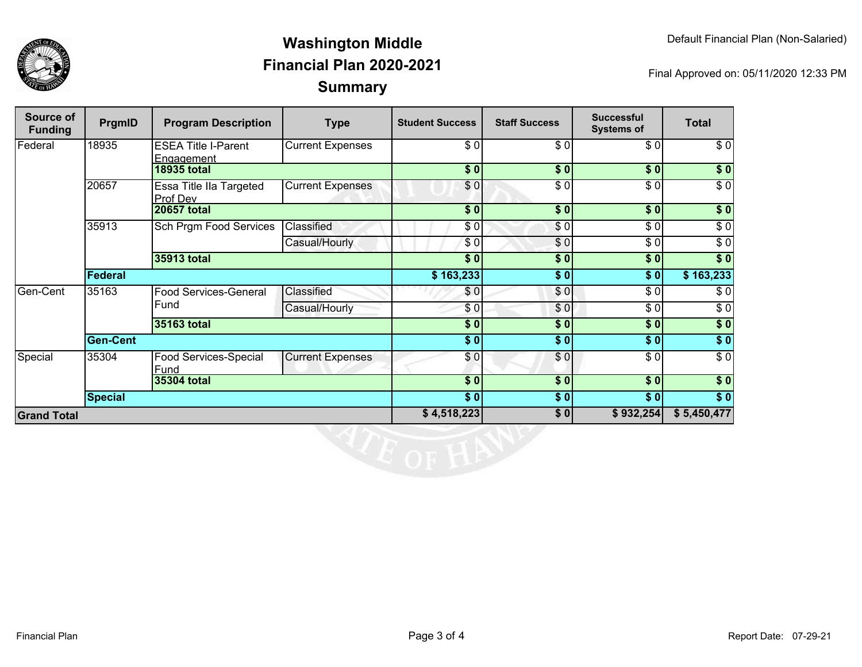

## **SummaryWashington MiddleFinancial Plan 2020-2021**

Final Approved on: 05/11/2020 12:33 PM

| Source of<br><b>Funding</b> | PrgmID          | <b>Program Description</b>               | <b>Type</b>             | <b>Student Success</b> | <b>Staff Success</b> | <b>Successful</b><br><b>Systems of</b> | <b>Total</b>     |
|-----------------------------|-----------------|------------------------------------------|-------------------------|------------------------|----------------------|----------------------------------------|------------------|
| Federal                     | 18935           | <b>ESEA Title I-Parent</b><br>Engagement | Current Expenses        | \$0                    | $\sqrt{6}$           | \$0                                    | \$0              |
|                             |                 | <b>18935 total</b>                       |                         | \$0                    | \$0                  | \$0]                                   | \$0              |
|                             | 20657           | Essa Title IIa Targeted<br>Prof Dev      | <b>Current Expenses</b> | \$0                    | \$0                  | \$0                                    | $\overline{\$}0$ |
|                             |                 | <b>20657 total</b>                       |                         | $\overline{\bullet}$   | \$0                  | $\overline{\bullet}$ 0                 | $\sqrt{6}$       |
|                             | 35913           | Sch Prgm Food Services                   | Classified              | \$0                    | \$0                  | \$0                                    | $\sqrt{6}$       |
|                             |                 |                                          | Casual/Hourly           | \$0                    | \$0                  | \$0                                    | $\sqrt{6}$       |
|                             |                 | 35913 total                              |                         | \$0                    | \$0                  | \$0                                    | $\sqrt{6}$       |
|                             | Federal         |                                          |                         | $\overline{$}3,233$    | \$0                  | \$0                                    | \$163,233        |
| Gen-Cent                    | 35163           | <b>Food Services-General</b><br>Fund     | Classified              | \$0                    | \$0                  | \$0                                    | \$0              |
|                             |                 |                                          | Casual/Hourly           | \$0                    | \$0                  | $\sqrt{6}$                             | $\sqrt{6}$       |
|                             |                 | 35163 total                              |                         | $\frac{1}{2}$          | \$0                  | $\frac{1}{2}$                          | $\sqrt{ }$       |
|                             | <b>Gen-Cent</b> |                                          |                         | $\frac{1}{2}$          | $\sqrt{6}$           | \$0]                                   | \$0              |
| Special                     | 35304           | Food Services-Special<br>Fund            | <b>Current Expenses</b> | \$0                    | $\sqrt{6}$           | $\sqrt{6}$                             | $\sqrt{6}$       |
|                             |                 | 35304 total                              |                         | \$0                    | \$0                  | $\overline{\$0}$                       | $\sqrt{ }$       |
|                             | <b>Special</b>  |                                          |                         | $\overline{\$0}$       | \$0                  | $\overline{\$0}$                       | $\sqrt{ }$       |
| <b>Grand Total</b>          |                 |                                          | \$4,518,223             | \$0                    | \$932,254            | \$5,450,477                            |                  |